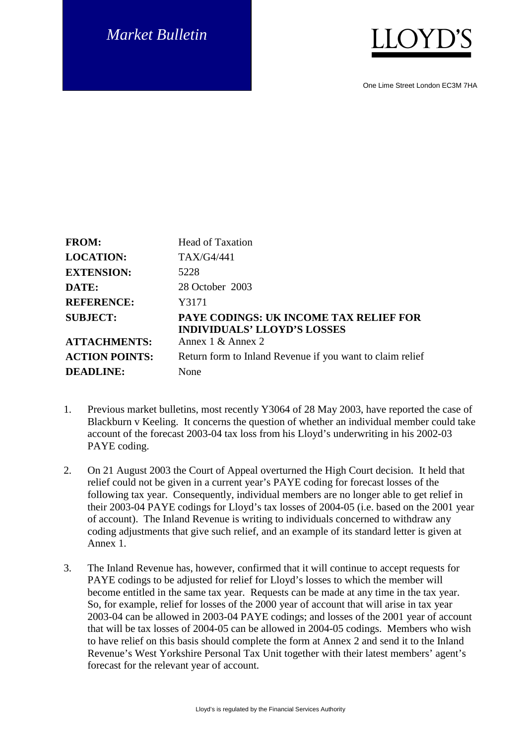## *Market Bulletin*



One Lime Street London EC3M 7HA

| <b>FROM:</b>          | <b>Head of Taxation</b>                                                             |
|-----------------------|-------------------------------------------------------------------------------------|
| <b>LOCATION:</b>      | TAX/G4/441                                                                          |
| <b>EXTENSION:</b>     | 5228                                                                                |
| DATE:                 | 28 October 2003                                                                     |
| <b>REFERENCE:</b>     | Y3171                                                                               |
| <b>SUBJECT:</b>       | <b>PAYE CODINGS: UK INCOME TAX RELIEF FOR</b><br><b>INDIVIDUALS' LLOYD'S LOSSES</b> |
| <b>ATTACHMENTS:</b>   | Annex 1 & Annex 2                                                                   |
| <b>ACTION POINTS:</b> | Return form to Inland Revenue if you want to claim relief                           |
| <b>DEADLINE:</b>      | None                                                                                |

- 1. Previous market bulletins, most recently Y3064 of 28 May 2003, have reported the case of Blackburn v Keeling. It concerns the question of whether an individual member could take account of the forecast 2003-04 tax loss from his Lloyd's underwriting in his 2002-03 PAYE coding.
- 2. On 21 August 2003 the Court of Appeal overturned the High Court decision. It held that relief could not be given in a current year's PAYE coding for forecast losses of the following tax year. Consequently, individual members are no longer able to get relief in their 2003-04 PAYE codings for Lloyd's tax losses of 2004-05 (i.e. based on the 2001 year of account). The Inland Revenue is writing to individuals concerned to withdraw any coding adjustments that give such relief, and an example of its standard letter is given at Annex 1.
- 3. The Inland Revenue has, however, confirmed that it will continue to accept requests for PAYE codings to be adjusted for relief for Lloyd's losses to which the member will become entitled in the same tax year. Requests can be made at any time in the tax year. So, for example, relief for losses of the 2000 year of account that will arise in tax year 2003-04 can be allowed in 2003-04 PAYE codings; and losses of the 2001 year of account that will be tax losses of 2004-05 can be allowed in 2004-05 codings. Members who wish to have relief on this basis should complete the form at Annex 2 and send it to the Inland Revenue's West Yorkshire Personal Tax Unit together with their latest members' agent's forecast for the relevant year of account.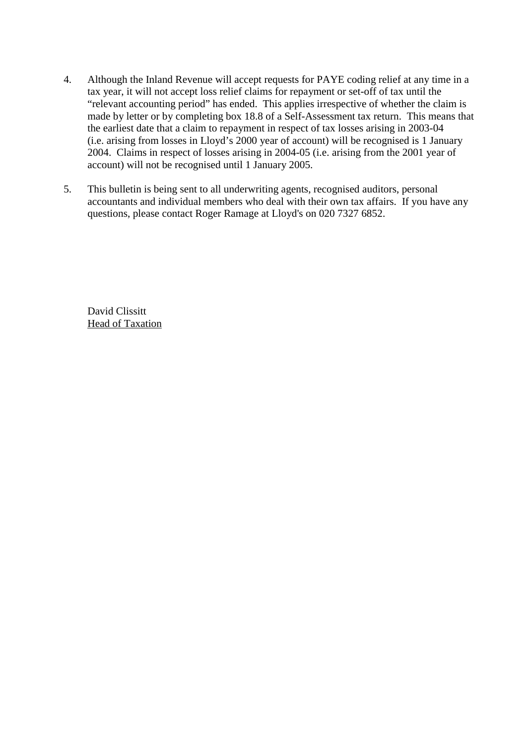- 4. Although the Inland Revenue will accept requests for PAYE coding relief at any time in a tax year, it will not accept loss relief claims for repayment or set-off of tax until the "relevant accounting period" has ended. This applies irrespective of whether the claim is made by letter or by completing box 18.8 of a Self-Assessment tax return. This means that the earliest date that a claim to repayment in respect of tax losses arising in 2003-04 (i.e. arising from losses in Lloyd's 2000 year of account) will be recognised is 1 January 2004. Claims in respect of losses arising in 2004-05 (i.e. arising from the 2001 year of account) will not be recognised until 1 January 2005.
- 5. This bulletin is being sent to all underwriting agents, recognised auditors, personal accountants and individual members who deal with their own tax affairs. If you have any questions, please contact Roger Ramage at Lloyd's on 020 7327 6852.

David Clissitt Head of Taxation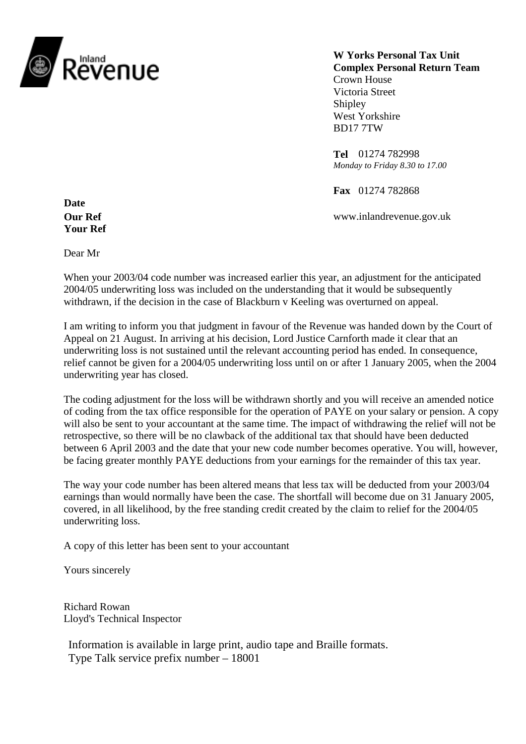

**W Yorks Personal Tax Unit Complex Personal Return Team** Crown House Victoria Street Shipley West Yorkshire BD17 7TW

**Tel** 01274 782998 *Monday to Friday 8.30 to 17.00*

**Fax** 01274 782868

**Our Ref** www.inlandrevenue.gov.uk

**Date Your Ref**

Dear Mr

When your 2003/04 code number was increased earlier this year, an adjustment for the anticipated 2004/05 underwriting loss was included on the understanding that it would be subsequently withdrawn, if the decision in the case of Blackburn v Keeling was overturned on appeal.

I am writing to inform you that judgment in favour of the Revenue was handed down by the Court of Appeal on 21 August. In arriving at his decision, Lord Justice Carnforth made it clear that an underwriting loss is not sustained until the relevant accounting period has ended. In consequence, relief cannot be given for a 2004/05 underwriting loss until on or after 1 January 2005, when the 2004 underwriting year has closed.

The coding adjustment for the loss will be withdrawn shortly and you will receive an amended notice of coding from the tax office responsible for the operation of PAYE on your salary or pension. A copy will also be sent to your accountant at the same time. The impact of withdrawing the relief will not be retrospective, so there will be no clawback of the additional tax that should have been deducted between 6 April 2003 and the date that your new code number becomes operative. You will, however, be facing greater monthly PAYE deductions from your earnings for the remainder of this tax year.

The way your code number has been altered means that less tax will be deducted from your 2003/04 earnings than would normally have been the case. The shortfall will become due on 31 January 2005, covered, in all likelihood, by the free standing credit created by the claim to relief for the 2004/05 underwriting loss.

A copy of this letter has been sent to your accountant

Yours sincerely

Richard Rowan Lloyd's Technical Inspector

Information is available in large print, audio tape and Braille formats. Type Talk service prefix number – 18001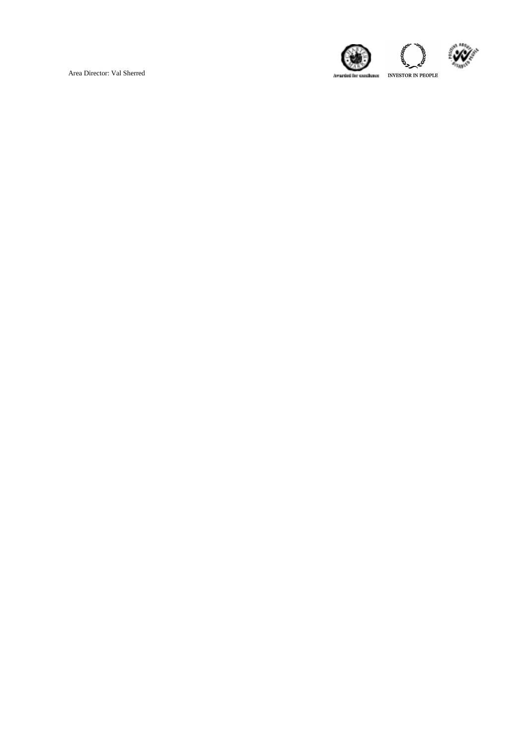Area Director: Val Sherred

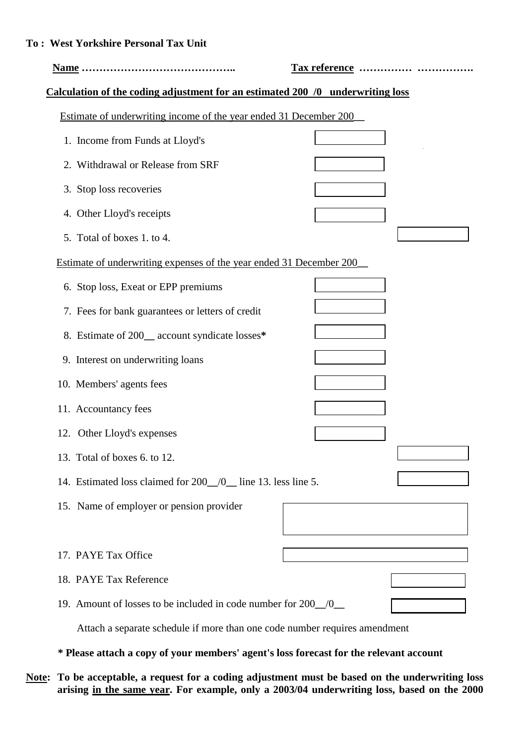| <b>To: West Yorkshire Personal Tax Unit</b>                                    |               |  |
|--------------------------------------------------------------------------------|---------------|--|
|                                                                                | Tax reference |  |
| Calculation of the coding adjustment for an estimated 200 /0 underwriting loss |               |  |
| Estimate of underwriting income of the year ended 31 December 200              |               |  |
| 1. Income from Funds at Lloyd's                                                |               |  |
| 2. Withdrawal or Release from SRF                                              |               |  |
| 3. Stop loss recoveries                                                        |               |  |
| 4. Other Lloyd's receipts                                                      |               |  |
| 5. Total of boxes 1. to 4.                                                     |               |  |
| Estimate of underwriting expenses of the year ended 31 December 200            |               |  |
| 6. Stop loss, Exeat or EPP premiums                                            |               |  |
| 7. Fees for bank guarantees or letters of credit                               |               |  |
| 8. Estimate of 200_ account syndicate losses*                                  |               |  |
| 9. Interest on underwriting loans                                              |               |  |
| 10. Members' agents fees                                                       |               |  |
| 11. Accountancy fees                                                           |               |  |
| 12. Other Lloyd's expenses                                                     |               |  |
| 13. Total of boxes 6. to 12.                                                   |               |  |
| 14. Estimated loss claimed for 200 0 line 13. less line 5.                     |               |  |
| 15. Name of employer or pension provider                                       |               |  |
|                                                                                |               |  |
| 17. PAYE Tax Office                                                            |               |  |

18. PAYE Tax Reference

19. Amount of losses to be included in code number for 200**\_\_**/0**\_\_**

Attach a separate schedule if more than one code number requires amendment

 **\* Please attach a copy of your members' agent's loss forecast for the relevant account**

**Note: To be acceptable, a request for a coding adjustment must be based on the underwriting loss arising in the same year. For example, only a 2003/04 underwriting loss, based on the 2000**